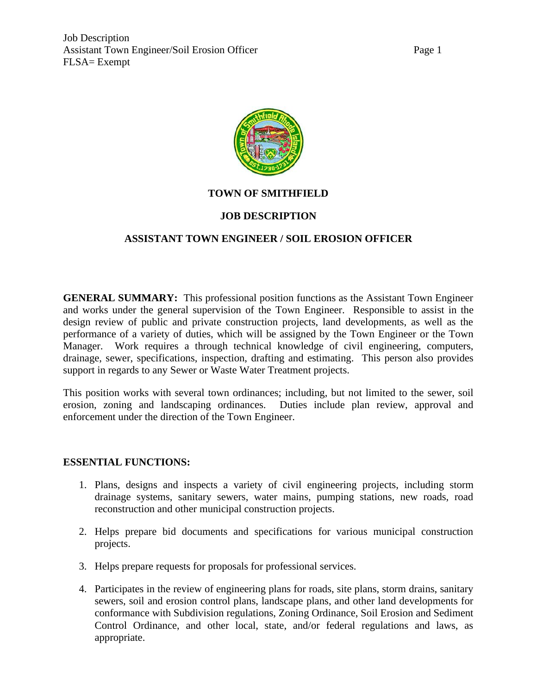



# **TOWN OF SMITHFIELD**

# **JOB DESCRIPTION**

# **ASSISTANT TOWN ENGINEER / SOIL EROSION OFFICER**

**GENERAL SUMMARY:** This professional position functions as the Assistant Town Engineer and works under the general supervision of the Town Engineer. Responsible to assist in the design review of public and private construction projects, land developments, as well as the performance of a variety of duties, which will be assigned by the Town Engineer or the Town Manager. Work requires a through technical knowledge of civil engineering, computers, drainage, sewer, specifications, inspection, drafting and estimating. This person also provides support in regards to any Sewer or Waste Water Treatment projects.

This position works with several town ordinances; including, but not limited to the sewer, soil erosion, zoning and landscaping ordinances. Duties include plan review, approval and enforcement under the direction of the Town Engineer.

### **ESSENTIAL FUNCTIONS:**

- 1. Plans, designs and inspects a variety of civil engineering projects, including storm drainage systems, sanitary sewers, water mains, pumping stations, new roads, road reconstruction and other municipal construction projects.
- 2. Helps prepare bid documents and specifications for various municipal construction projects.
- 3. Helps prepare requests for proposals for professional services.
- 4. Participates in the review of engineering plans for roads, site plans, storm drains, sanitary sewers, soil and erosion control plans, landscape plans, and other land developments for conformance with Subdivision regulations, Zoning Ordinance, Soil Erosion and Sediment Control Ordinance, and other local, state, and/or federal regulations and laws, as appropriate.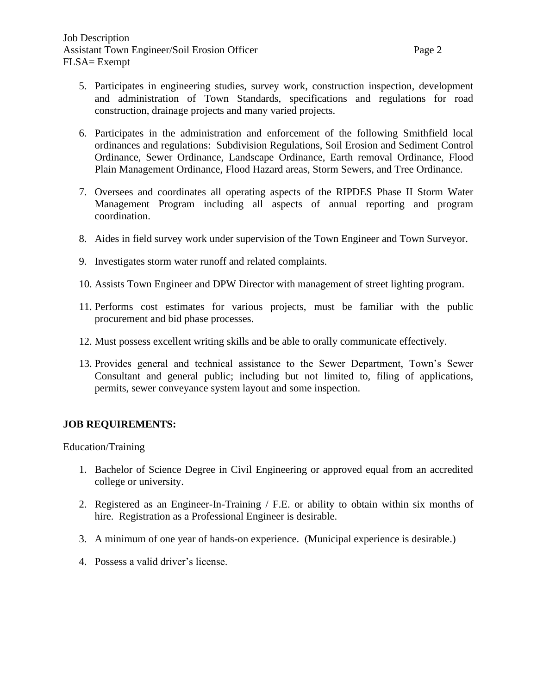- 5. Participates in engineering studies, survey work, construction inspection, development and administration of Town Standards, specifications and regulations for road construction, drainage projects and many varied projects.
- 6. Participates in the administration and enforcement of the following Smithfield local ordinances and regulations: Subdivision Regulations, Soil Erosion and Sediment Control Ordinance, Sewer Ordinance, Landscape Ordinance, Earth removal Ordinance, Flood Plain Management Ordinance, Flood Hazard areas, Storm Sewers, and Tree Ordinance.
- 7. Oversees and coordinates all operating aspects of the RIPDES Phase II Storm Water Management Program including all aspects of annual reporting and program coordination.
- 8. Aides in field survey work under supervision of the Town Engineer and Town Surveyor.
- 9. Investigates storm water runoff and related complaints.
- 10. Assists Town Engineer and DPW Director with management of street lighting program.
- 11. Performs cost estimates for various projects, must be familiar with the public procurement and bid phase processes.
- 12. Must possess excellent writing skills and be able to orally communicate effectively.
- 13. Provides general and technical assistance to the Sewer Department, Town's Sewer Consultant and general public; including but not limited to, filing of applications, permits, sewer conveyance system layout and some inspection.

# **JOB REQUIREMENTS:**

Education/Training

- 1. Bachelor of Science Degree in Civil Engineering or approved equal from an accredited college or university.
- 2. Registered as an Engineer-In-Training / F.E. or ability to obtain within six months of hire. Registration as a Professional Engineer is desirable.
- 3. A minimum of one year of hands-on experience. (Municipal experience is desirable.)
- 4. Possess a valid driver's license.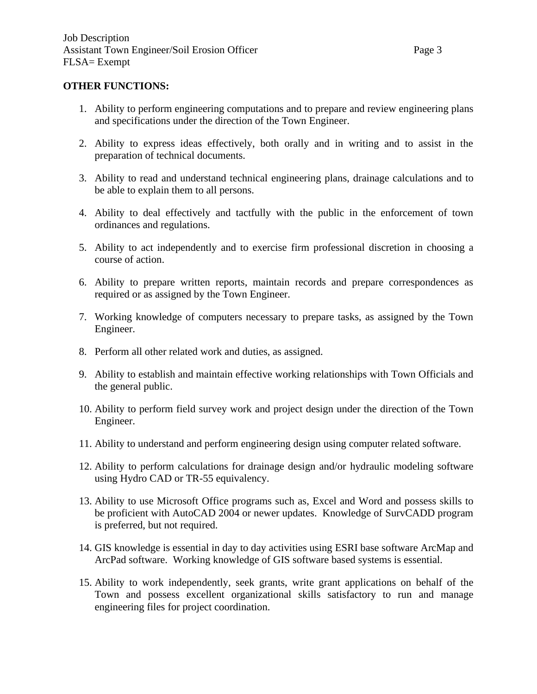#### **OTHER FUNCTIONS:**

- 1. Ability to perform engineering computations and to prepare and review engineering plans and specifications under the direction of the Town Engineer.
- 2. Ability to express ideas effectively, both orally and in writing and to assist in the preparation of technical documents.
- 3. Ability to read and understand technical engineering plans, drainage calculations and to be able to explain them to all persons.
- 4. Ability to deal effectively and tactfully with the public in the enforcement of town ordinances and regulations.
- 5. Ability to act independently and to exercise firm professional discretion in choosing a course of action.
- 6. Ability to prepare written reports, maintain records and prepare correspondences as required or as assigned by the Town Engineer.
- 7. Working knowledge of computers necessary to prepare tasks, as assigned by the Town Engineer.
- 8. Perform all other related work and duties, as assigned.
- 9. Ability to establish and maintain effective working relationships with Town Officials and the general public.
- 10. Ability to perform field survey work and project design under the direction of the Town Engineer.
- 11. Ability to understand and perform engineering design using computer related software.
- 12. Ability to perform calculations for drainage design and/or hydraulic modeling software using Hydro CAD or TR-55 equivalency.
- 13. Ability to use Microsoft Office programs such as, Excel and Word and possess skills to be proficient with AutoCAD 2004 or newer updates. Knowledge of SurvCADD program is preferred, but not required.
- 14. GIS knowledge is essential in day to day activities using ESRI base software ArcMap and ArcPad software. Working knowledge of GIS software based systems is essential.
- 15. Ability to work independently, seek grants, write grant applications on behalf of the Town and possess excellent organizational skills satisfactory to run and manage engineering files for project coordination.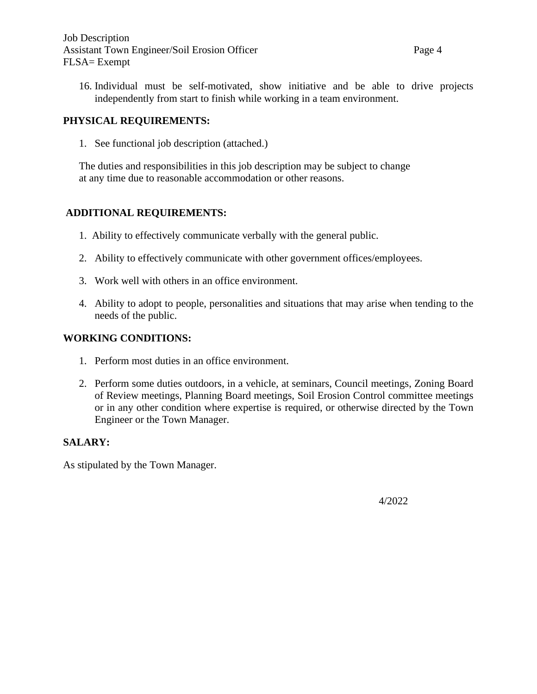16. Individual must be self-motivated, show initiative and be able to drive projects independently from start to finish while working in a team environment.

# **PHYSICAL REQUIREMENTS:**

1. See functional job description (attached.)

The duties and responsibilities in this job description may be subject to change at any time due to reasonable accommodation or other reasons.

# **ADDITIONAL REQUIREMENTS:**

- 1. Ability to effectively communicate verbally with the general public.
- 2. Ability to effectively communicate with other government offices/employees.
- 3. Work well with others in an office environment.
- 4. Ability to adopt to people, personalities and situations that may arise when tending to the needs of the public.

#### **WORKING CONDITIONS:**

- 1. Perform most duties in an office environment.
- 2. Perform some duties outdoors, in a vehicle, at seminars, Council meetings, Zoning Board of Review meetings, Planning Board meetings, Soil Erosion Control committee meetings or in any other condition where expertise is required, or otherwise directed by the Town Engineer or the Town Manager.

### **SALARY:**

As stipulated by the Town Manager.

4/2022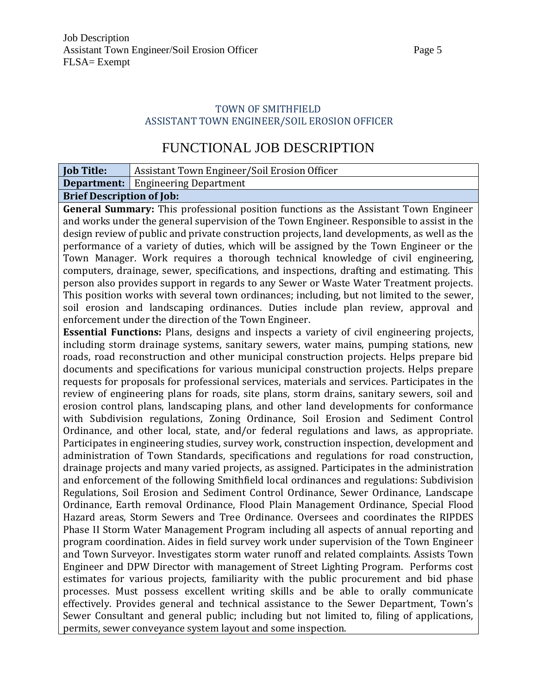# TOWN OF SMITHFIELD ASSISTANT TOWN ENGINEER/SOIL EROSION OFFICER

# FUNCTIONAL JOB DESCRIPTION

| <b>Job Title:</b>                                                                       | Assistant Town Engineer/Soil Erosion Officer                                                                                                                                                |  |  |  |  |  |  |
|-----------------------------------------------------------------------------------------|---------------------------------------------------------------------------------------------------------------------------------------------------------------------------------------------|--|--|--|--|--|--|
|                                                                                         | <b>Department:</b> Engineering Department                                                                                                                                                   |  |  |  |  |  |  |
| <b>Brief Description of Job:</b>                                                        |                                                                                                                                                                                             |  |  |  |  |  |  |
|                                                                                         | General Summary: This professional position functions as the Assistant Town Engineer                                                                                                        |  |  |  |  |  |  |
|                                                                                         | and works under the general supervision of the Town Engineer. Responsible to assist in the                                                                                                  |  |  |  |  |  |  |
|                                                                                         | design review of public and private construction projects, land developments, as well as the                                                                                                |  |  |  |  |  |  |
|                                                                                         | performance of a variety of duties, which will be assigned by the Town Engineer or the                                                                                                      |  |  |  |  |  |  |
|                                                                                         | Town Manager. Work requires a thorough technical knowledge of civil engineering,                                                                                                            |  |  |  |  |  |  |
|                                                                                         | computers, drainage, sewer, specifications, and inspections, drafting and estimating. This                                                                                                  |  |  |  |  |  |  |
|                                                                                         | person also provides support in regards to any Sewer or Waste Water Treatment projects.                                                                                                     |  |  |  |  |  |  |
|                                                                                         | This position works with several town ordinances; including, but not limited to the sewer,                                                                                                  |  |  |  |  |  |  |
|                                                                                         | soil erosion and landscaping ordinances. Duties include plan review, approval and                                                                                                           |  |  |  |  |  |  |
|                                                                                         | enforcement under the direction of the Town Engineer.                                                                                                                                       |  |  |  |  |  |  |
|                                                                                         | <b>Essential Functions:</b> Plans, designs and inspects a variety of civil engineering projects,                                                                                            |  |  |  |  |  |  |
|                                                                                         | including storm drainage systems, sanitary sewers, water mains, pumping stations, new                                                                                                       |  |  |  |  |  |  |
|                                                                                         | roads, road reconstruction and other municipal construction projects. Helps prepare bid                                                                                                     |  |  |  |  |  |  |
|                                                                                         | documents and specifications for various municipal construction projects. Helps prepare                                                                                                     |  |  |  |  |  |  |
|                                                                                         | requests for proposals for professional services, materials and services. Participates in the<br>review of engineering plans for roads, site plans, storm drains, sanitary sewers, soil and |  |  |  |  |  |  |
|                                                                                         | erosion control plans, landscaping plans, and other land developments for conformance                                                                                                       |  |  |  |  |  |  |
|                                                                                         | with Subdivision regulations, Zoning Ordinance, Soil Erosion and Sediment Control                                                                                                           |  |  |  |  |  |  |
|                                                                                         | Ordinance, and other local, state, and/or federal regulations and laws, as appropriate.                                                                                                     |  |  |  |  |  |  |
|                                                                                         | Participates in engineering studies, survey work, construction inspection, development and                                                                                                  |  |  |  |  |  |  |
|                                                                                         | administration of Town Standards, specifications and regulations for road construction,                                                                                                     |  |  |  |  |  |  |
|                                                                                         | drainage projects and many varied projects, as assigned. Participates in the administration                                                                                                 |  |  |  |  |  |  |
|                                                                                         | and enforcement of the following Smithfield local ordinances and regulations: Subdivision                                                                                                   |  |  |  |  |  |  |
|                                                                                         | Regulations, Soil Erosion and Sediment Control Ordinance, Sewer Ordinance, Landscape                                                                                                        |  |  |  |  |  |  |
|                                                                                         | Ordinance, Earth removal Ordinance, Flood Plain Management Ordinance, Special Flood                                                                                                         |  |  |  |  |  |  |
| Hazard areas, Storm Sewers and Tree Ordinance. Oversees and coordinates the RIPDES      |                                                                                                                                                                                             |  |  |  |  |  |  |
| Phase II Storm Water Management Program including all aspects of annual reporting and   |                                                                                                                                                                                             |  |  |  |  |  |  |
| program coordination. Aides in field survey work under supervision of the Town Engineer |                                                                                                                                                                                             |  |  |  |  |  |  |
| and Town Surveyor. Investigates storm water runoff and related complaints. Assists Town |                                                                                                                                                                                             |  |  |  |  |  |  |
| Engineer and DPW Director with management of Street Lighting Program. Performs cost     |                                                                                                                                                                                             |  |  |  |  |  |  |
|                                                                                         | estimates for various projects, familiarity with the public procurement and bid phase                                                                                                       |  |  |  |  |  |  |
|                                                                                         | processes. Must possess excellent writing skills and be able to orally communicate                                                                                                          |  |  |  |  |  |  |
|                                                                                         | effectively. Provides general and technical assistance to the Sewer Department, Town's                                                                                                      |  |  |  |  |  |  |
|                                                                                         | Sewer Consultant and general public; including but not limited to, filing of applications,                                                                                                  |  |  |  |  |  |  |
|                                                                                         | permits, sewer conveyance system layout and some inspection.                                                                                                                                |  |  |  |  |  |  |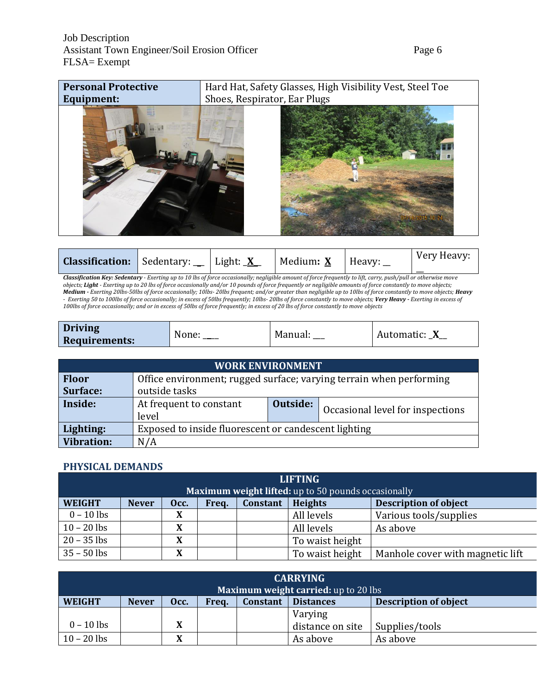

|  | Light: <u>X</u><br><b>Classification:</b> Sedentary: __ '<br>Medium: <u>X</u><br>Heavy: | Very Heavy: |
|--|-----------------------------------------------------------------------------------------|-------------|
|--|-----------------------------------------------------------------------------------------|-------------|

*Classification Key: Sedentary - Exerting up to 10 lbs of force occasionally; negligible amount of force frequently to lift, carry, push/pull or otherwise move objects; Light - Exerting up to 20 lbs of force occasionally and/or 10 pounds of force frequently or negligible amounts of force constantly to move objects; Medium - Exerting 20lbs-50lbs of force occasionally; 10lbs- 20lbs frequent; and/or greater than negligible up to 10lbs of force constantly to move objects; Heavy - Exerting 50 to 100lbs of force occasionally; in excess of 50lbs frequently; 10lbs- 20lbs of force constantly to move objects; Very Heavy - Exerting in excess of 100lbs of force occasionally; and or in excess of 50lbs of force frequently; in excess of 20 lbs of force constantly to move objects*

| <b>Driving</b>       | None: | Manual: | Automatic:<br>_ |
|----------------------|-------|---------|-----------------|
| <b>Requirements:</b> |       |         |                 |

| <b>WORK ENVIRONMENT</b> |                                                                                  |  |  |  |  |  |  |
|-------------------------|----------------------------------------------------------------------------------|--|--|--|--|--|--|
| <b>Floor</b>            | Office environment; rugged surface; varying terrain when performing              |  |  |  |  |  |  |
| Surface:                | outside tasks                                                                    |  |  |  |  |  |  |
| Inside:                 | Outside:<br>At frequent to constant<br>Occasional level for inspections<br>level |  |  |  |  |  |  |
| Lighting:               | Exposed to inside fluorescent or candescent lighting                             |  |  |  |  |  |  |
| <b>Vibration:</b>       | N/A                                                                              |  |  |  |  |  |  |

#### **PHYSICAL DEMANDS**

| <b>LIFTING</b>                                      |              |      |       |          |                 |                                  |  |  |  |
|-----------------------------------------------------|--------------|------|-------|----------|-----------------|----------------------------------|--|--|--|
| Maximum weight lifted: up to 50 pounds occasionally |              |      |       |          |                 |                                  |  |  |  |
| <b>WEIGHT</b>                                       | <b>Never</b> | Occ. | Freq. | Constant | <b>Heights</b>  | <b>Description of object</b>     |  |  |  |
| $0 - 10$ lbs                                        |              |      |       |          | All levels      | Various tools/supplies           |  |  |  |
| $10 - 20$ lbs                                       |              |      |       |          | All levels      | As above                         |  |  |  |
| $20 - 35$ lbs                                       |              |      |       |          | To waist height |                                  |  |  |  |
| $35 - 50$ lbs                                       |              | X    |       |          | To waist height | Manhole cover with magnetic lift |  |  |  |

| <b>CARRYING</b>                             |              |      |       |                 |                  |                              |  |  |  |
|---------------------------------------------|--------------|------|-------|-----------------|------------------|------------------------------|--|--|--|
| <b>Maximum weight carried:</b> up to 20 lbs |              |      |       |                 |                  |                              |  |  |  |
| <b>WEIGHT</b>                               | <b>Never</b> | Occ. | Frea. | <b>Constant</b> | <b>Distances</b> | <b>Description of object</b> |  |  |  |
|                                             |              |      |       |                 | Varying          |                              |  |  |  |
| $0 - 10$ lbs                                |              |      |       |                 | distance on site | Supplies/tools               |  |  |  |
| $10 - 20$ lbs                               |              |      |       |                 | As above         | As above                     |  |  |  |